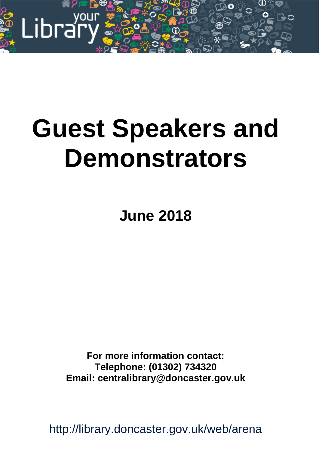

# **Guest Speakers and Demonstrators**

**June 2018**

**For more information contact: Telephone: (01302) 734320 Email: centralibrary@doncaster.gov.uk**

http://library.doncaster.gov.uk/web/arena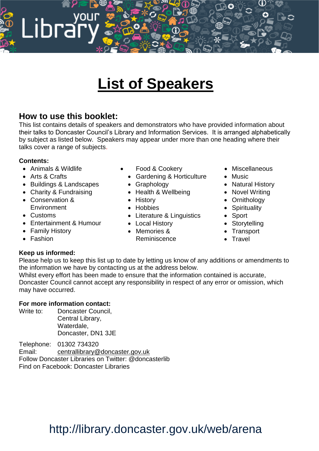# **List of Speakers**

### **How to use this booklet:**

уоиг

This list contains details of speakers and demonstrators who have provided information about their talks to Doncaster Council's Library and Information Services. It is arranged alphabetically by subject as listed below. Speakers may appear under more than one heading where their talks cover a range of subjects.

#### **Contents:**

Animals & Wildlife

Libra

- Arts & Crafts
- Buildings & Landscapes
- Charity & Fundraising
- Conservation & **Environment**
- Customs
- Entertainment & Humour
- Family History
- Fashion
- Food & Cookery
- Gardening & Horticulture
- Graphology
- Health & Wellbeing
- History
- Hobbies
- Literature & Linguistics
- Local History
- Memories & Reminiscence
- Miscellaneous
- Music
- Natural History
- Novel Writing
- Ornithology
- Spirituality
- Sport
- Storytelling
- Transport
- Travel

#### **Keep us informed:**

Please help us to keep this list up to date by letting us know of any additions or amendments to the information we have by contacting us at the address below.

Whilst every effort has been made to ensure that the information contained is accurate, Doncaster Council cannot accept any responsibility in respect of any error or omission, which may have occurred.

#### **For more information contact:**

Write to: Doncaster Council, Central Library, Waterdale, Doncaster, DN1 3JE

Telephone: 01302 734320

Email: [centrallibrary@doncaster.gov.uk](mailto:centrallibrary@doncaster.gov.uk) Follow Doncaster Libraries on Twitter: @doncasterlib

Find on Facebook: Doncaster Libraries

# http://library.doncaster.gov.uk/web/arena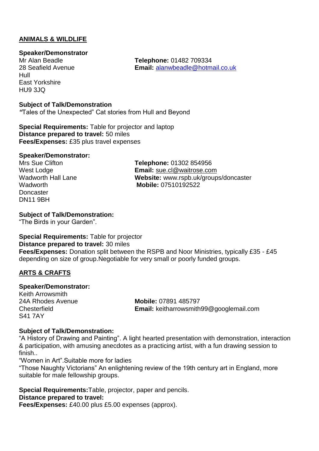#### **ANIMALS & WILDLIFE**

#### **Speaker/Demonstrator**

Mr Alan Beadle **Telephone:** 01482 709334 Hull East Yorkshire HU9 3JQ

**Subject of Talk/Demonstration**

*"*Tales of the Unexpected" Cat stories from Hull and Beyond

**Special Requirements:** Table for projector and laptop **Distance prepared to travel:** 50 miles **Fees/Expenses:** £35 plus travel expenses

#### **Speaker/Demonstrator:**

**Doncaster** DN11 9BH

Mrs Sue Clifton **Telephone:** 01302 854956 West Lodge **Email:** [sue.cl@waitrose.com](mailto:sue.cl@waitrose.com) Wadworth Hall Lane **Website:** www.rspb.uk/groups/doncaster Wadworth **Mobile:** 07510192522

Email: [alanwbeadle@hotmail.co.uk](mailto:alanwbeadle@hotmail.co.uk)

#### **Subject of Talk/Demonstration:**

"The Birds in your Garden".

**Special Requirements:** Table for projector **Distance prepared to travel:** 30 miles **Fees/Expenses:** Donation split between the RSPB and Noor Ministries, typically £35 - £45 depending on size of group.Negotiable for very small or poorly funded groups.

#### **ARTS & CRAFTS**

#### **Speaker/Demonstrator:**

Keith Arrowsmith S41 7AY

24A Rhodes Avenue **Mobile:** 07891 485797 Chesterfield **Email:** keitharrowsmith99@googlemail.com

#### **Subject of Talk/Demonstration:**

"A History of Drawing and Painting". A light hearted presentation with demonstration, interaction & participation, with amusing anecdotes as a practicing artist, with a fun drawing session to finish..

"Women in Art".Suitable more for ladies

"Those Naughty Victorians" An enlightening review of the 19th century art in England, more suitable for male fellowship groups.

**Special Requirements:**Table, projector, paper and pencils. **Distance prepared to travel:**

**Fees/Expenses:** £40.00 plus £5.00 expenses (approx).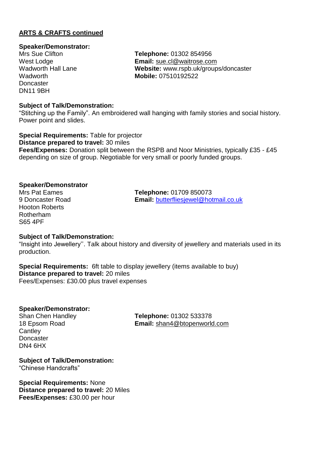#### **ARTS & CRAFTS continued**

#### **Speaker/Demonstrator:**

**Doncaster** DN11 9BH

Mrs Sue Clifton **Telephone:** 01302 854956 West Lodge **Email:** [sue.cl@waitrose.com](mailto:sue.cl@waitrose.com) Website: www.rspb.uk/groups/doncaster Wadworth **Mobile:** 07510192522

#### **Subject of Talk/Demonstration:**

"Stitching up the Family". An embroidered wall hanging with family stories and social history. Power point and slides.

**Special Requirements:** Table for projector **Distance prepared to travel:** 30 miles **Fees/Expenses:** Donation split between the RSPB and Noor Ministries, typically £35 - £45 depending on size of group. Negotiable for very small or poorly funded groups.

#### **Speaker/Demonstrator**

Hooton Roberts Rotherham S65 4PF

Mrs Pat Eames<br>
9 Doncaster Road **Southern Email:** butterfliesiewel@hothern Processes Email: [butterfliesjewel@hotmail.co.uk](mailto:butterfliesjewel@hotmail.co.uk)

#### **Subject of Talk/Demonstration:**

"Insight into Jewellery''. Talk about history and diversity of jewellery and materials used in its production.

**Special Requirements:** 6ft table to display jewellery (items available to buy) **Distance prepared to travel:** 20 miles Fees/Expenses: £30.00 plus travel expenses

#### **Speaker/Demonstrator:**

**Cantley Doncaster** DN4 6HX

Shan Chen Handley **Telephone:** 01302 533378 18 Epsom Road **Email:** [shan4@btopenworld.com](mailto:shan4@btopenworld.com)

**Subject of Talk/Demonstration:** "Chinese Handcrafts"

**Special Requirements:** None **Distance prepared to travel:** 20 Miles **Fees/Expenses:** £30.00 per hour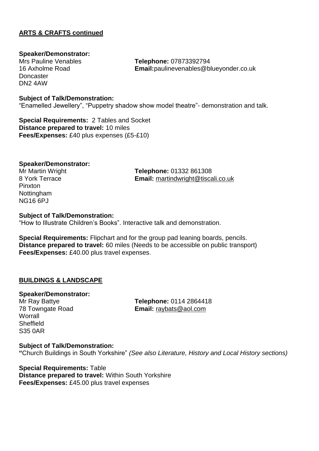#### **ARTS & CRAFTS continued**

#### **Speaker/Demonstrator:**

**Doncaster** DN2 4AW

Mrs Pauline Venables **Telephone:** 07873392794<br>16 Axholme Road **Telephone:** 07873392794 Email:paulinevenables@blueyonder.co.uk

#### **Subject of Talk/Demonstration:**

"Enamelled Jewellery", "Puppetry shadow show model theatre"- demonstration and talk.

**Special Requirements:** 2 Tables and Socket **Distance prepared to travel:** 10 miles **Fees/Expenses:** £40 plus expenses (£5-£10)

#### **Speaker/Demonstrator:**

Pinxton Nottingham NG16 6PJ

Mr Martin Wright **Telephone:** 01332 861308 8 York Terrace **Email:** [martindwright@tiscali.co.uk](mailto:martindwright@tiscali.co.uk)

#### **Subject of Talk/Demonstration:**

"How to Illustrate Children's Books". Interactive talk and demonstration.

**Special Requirements:** Flipchart and for the group pad leaning boards, pencils. **Distance prepared to travel:** 60 miles (Needs to be accessible on public transport) **Fees/Expenses:** £40.00 plus travel expenses.

#### **BUILDINGS & LANDSCAPE**

#### **Speaker/Demonstrator:**

**Worrall Sheffield** S35 0AR

Mr Ray Battye **Telephone:** 0114 2864418 78 Towngate Road **Email:** [raybats@aol.com](mailto:raybats@aol.com)

#### **Subject of Talk/Demonstration: "**Church Buildings in South Yorkshire" *(See also Literature, History and Local History sections)*

**Special Requirements:** Table **Distance prepared to travel:** Within South Yorkshire **Fees/Expenses:** £45.00 plus travel expenses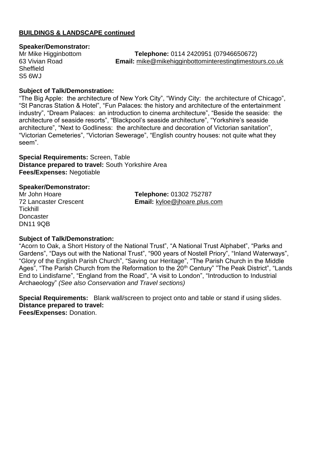#### **BUILDINGS & LANDSCAPE continued**

#### **Speaker/Demonstrator:**

**Sheffield** S5 6WJ

Mr Mike Higginbottom **Telephone:** 0114 2420951 (07946650672) 63 Vivian Road **Email:** [mike@mikehigginbottominterestingtimestours.co.uk](mailto:mike@mikehigginbottominterestingtimestours.co.uk)

#### **Subject of Talk/Demonstration:**

"The Big Apple: the architecture of New York City", "Windy City: the architecture of Chicago", "St Pancras Station & Hotel", "Fun Palaces: the history and architecture of the entertainment industry", "Dream Palaces: an introduction to cinema architecture", "Beside the seaside: the architecture of seaside resorts", "Blackpool's seaside architecture", "Yorkshire's seaside architecture", "Next to Godliness: the architecture and decoration of Victorian sanitation", "Victorian Cemeteries", "Victorian Sewerage", "English country houses: not quite what they seem".

**Special Requirements:** Screen, Table **Distance prepared to travel:** South Yorkshire Area **Fees/Expenses:** Negotiable

#### **Speaker/Demonstrator:**

**Tickhill Doncaster** DN11 9QB

Mr John Hoare **Telephone:** 01302 752787 72 Lancaster Crescent **Email:** [kyloe@jhoare.plus.com](mailto:kyloe@jhoare.plus.com)

#### **Subject of Talk/Demonstration:**

"Acorn to Oak, a Short History of the National Trust", "A National Trust Alphabet", "Parks and Gardens", "Days out with the National Trust", "900 years of Nostell Priory", "Inland Waterways", "Glory of the English Parish Church", "Saving our Heritage", "The Parish Church in the Middle Ages", "The Parish Church from the Reformation to the 20<sup>th</sup> Century" "The Peak District", "Lands End to Lindisfarne", "England from the Road", "A visit to London", "Introduction to Industrial Archaeology" *(See also Conservation and Travel sections)*

**Special Requirements:** Blank wall/screen to project onto and table or stand if using slides. **Distance prepared to travel: Fees/Expenses:** Donation.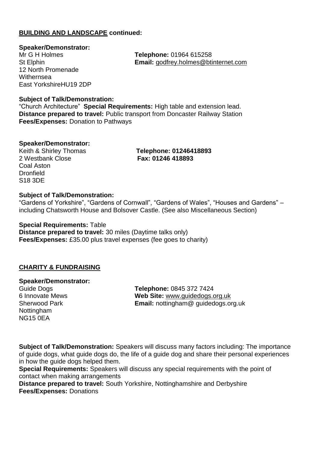#### **BUILDING AND LANDSCAPE continued:**

**Speaker/Demonstrator:** 12 North Promenade Withernsea East YorkshireHU19 2DP

Mr G H Holmes **Telephone:** 01964 615258 St Elphin **Email:** [godfrey.holmes@btinternet.com](mailto:godfrey.holmes@btinternet.com)

#### **Subject of Talk/Demonstration:**

"Church Architecture" **Special Requirements:** High table and extension lead. **Distance prepared to travel:** Public transport from Doncaster Railway Station **Fees/Expenses:** Donation to Pathways

#### **Speaker/Demonstrator:**

2 Westbank Close **Fax: 01246 418893** Coal Aston **Dronfield** S18 3DE

Keith & Shirley Thomas **Telephone: 01246418893**

#### **Subject of Talk/Demonstration:**

"Gardens of Yorkshire", "Gardens of Cornwall", "Gardens of Wales", "Houses and Gardens" – including Chatsworth House and Bolsover Castle. (See also Miscellaneous Section)

**Special Requirements:** Table **Distance prepared to travel:** 30 miles (Daytime talks only) **Fees/Expenses:** £35.00 plus travel expenses (fee goes to charity)

#### **CHARITY & FUNDRAISING**

**Speaker/Demonstrator:** Nottingham NG15 0EA

Guide Dogs **Telephone:** 0845 372 7424 6 Innovate Mews **Web Site:** [www.guidedogs.org.uk](http://www.guidedogs.org.uk/) Sherwood Park **Email:** nottingham@ guidedogs.org.uk

**Subject of Talk/Demonstration:** Speakers will discuss many factors including: The importance of guide dogs, what guide dogs do, the life of a guide dog and share their personal experiences in how the guide dogs helped them.

**Special Requirements:** Speakers will discuss any special requirements with the point of contact when making arrangements

**Distance prepared to travel:** South Yorkshire, Nottinghamshire and Derbyshire **Fees/Expenses:** Donations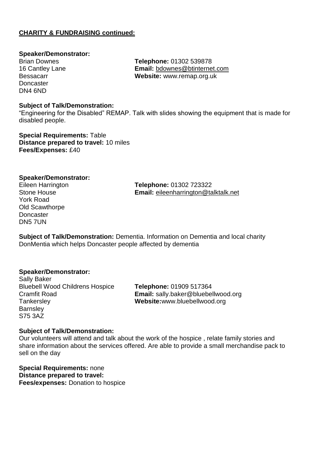#### **CHARITY & FUNDRAISING continued:**

#### **Speaker/Demonstrator:**

**Doncaster** DN4 6ND

Brian Downes **Telephone:** 01302 539878 16 Cantley Lane **Email:** [bdownes@btinternet.com](mailto:bdownes@btinternet.com) Bessacarr **Website:** www.remap.org.uk

#### **Subject of Talk/Demonstration:**

"Engineering for the Disabled" REMAP. Talk with slides showing the equipment that is made for disabled people.

**Special Requirements:** Table **Distance prepared to travel:** 10 miles **Fees/Expenses:** £40

#### **Speaker/Demonstrator:**

York Road Old Scawthorpe **Doncaster** DN5 7UN

Eileen Harrington **Telephone:** 01302 723322 Stone House **Email:** [eileenharrington@talktalk.net](mailto:eileenharrington@talktalk.net)

**Subject of Talk/Demonstration:** Dementia. Information on Dementia and local charity DonMentia which helps Doncaster people affected by dementia

#### **Speaker/Demonstrator:**

Sally Baker Bluebell Wood Childrens Hospice **Telephone:** 01909 517364 Tankersley **Website:**www.bluebellwood.org **Barnsley** S75 3AZ

Cramfit Road **Email:** sally.baker@bluebellwood.org

#### **Subject of Talk/Demonstration:**

Our volunteers will attend and talk about the work of the hospice , relate family stories and share information about the services offered. Are able to provide a small merchandise pack to sell on the day

**Special Requirements:** none **Distance prepared to travel: Fees/expenses:** Donation to hospice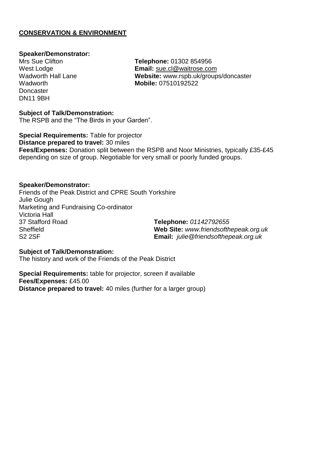#### **CONSERVATION & ENVIRONMENT**

#### **Speaker/Demonstrator:**

**Doncaster** DN11 9BH

Mrs Sue Clifton **Telephone:** 01302 854956 West Lodge **Email:** [sue.cl@waitrose.com](mailto:sue.cl@waitrose.com) Wadworth Hall Lane **Website:** www.rspb.uk/groups/doncaster **Mobile: 07510192522** 

#### **Subject of Talk/Demonstration:**

The RSPB and the "The Birds in your Garden".

**Special Requirements:** Table for projector **Distance prepared to travel:** 30 miles **Fees/Expenses:** Donation split between the RSPB and Noor Ministries, typically £35-£45 depending on size of group. Negotiable for very small or poorly funded groups.

#### **Speaker/Demonstrator:**

Friends of the Peak District and CPRE South Yorkshire Julie Gough Marketing and Fundraising Co-ordinator Victoria Hall Sheffield **Web Site:** *www.friendsofthepeak.org.uk* S2 2SF **Email:** *julie@friendsofthepeak.org.uk*

37 Stafford Road **Telephone:** *01142792655*

#### **Subject of Talk/Demonstration:**

The history and work of the Friends of the Peak District

**Special Requirements:** table for projector, screen if available **Fees/Expenses:** £45.00 **Distance prepared to travel:** 40 miles (further for a larger group)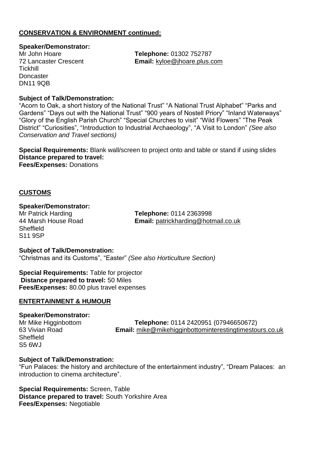#### **CONSERVATION & ENVIRONMENT continued:**

#### **Speaker/Demonstrator:**

**Tickhill Doncaster** DN11 9QB

Mr John Hoare **Telephone:** 01302 752787 72 Lancaster Crescent **Email:** [kyloe@jhoare.plus.com](mailto:kyloe@jhoare.plus.com)

#### **Subject of Talk/Demonstration:**

"Acorn to Oak, a short history of the National Trust" "A National Trust Alphabet" "Parks and Gardens" "Days out with the National Trust" "900 years of Nostell Priory" "Inland Waterways" "Glory of the English Parish Church" "Special Churches to visit" "Wild Flowers" "The Peak District" "Curiosities", "Introduction to Industrial Archaeology", "A Visit to London" *(See also Conservation and Travel sections)*

**Special Requirements:** Blank wall/screen to project onto and table or stand if using slides **Distance prepared to travel: Fees/Expenses:** Donations

#### **CUSTOMS**

#### **Speaker/Demonstrator:**

**Sheffield** S11 9SP

Mr Patrick Harding **Telephone:** 0114 2363998 **Email:** [patrickharding@hotmail.co.uk](mailto:patrickharding@hotmail.co.uk)

#### **Subject of Talk/Demonstration:** "Christmas and its Customs", "Easter" *(See also Horticulture Section)*

**Special Requirements:** Table for projector **Distance prepared to travel:** 50 Miles **Fees/Expenses:** 80.00 plus travel expenses

#### **ENTERTAINMENT & HUMOUR**

#### **Speaker/Demonstrator:**

**Sheffield** S5 6WJ

Mr Mike Higginbottom **Telephone:** 0114 2420951 (07946650672) 63 Vivian Road **Email:** [mike@mikehigginbottominterestingtimestours.co.uk](mailto:mike@mikehigginbottominterestingtimestours.co.uk)

#### **Subject of Talk/Demonstration:**

"Fun Palaces: the history and architecture of the entertainment industry", "Dream Palaces: an introduction to cinema architecture".

**Special Requirements:** Screen, Table **Distance prepared to travel:** South Yorkshire Area **Fees/Expenses:** Negotiable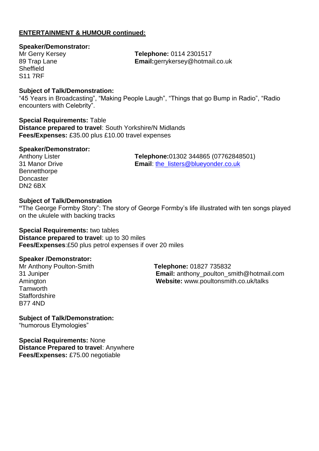#### **ENTERTAINMENT & HUMOUR continued:**

#### **Speaker/Demonstrator:**

**Sheffield** S11 7RF

Mr Gerry Kersey **Telephone:** 0114 2301517 89 Trap Lane **Email:**gerrykersey@hotmail.co.uk

#### **Subject of Talk/Demonstration:**

"45 Years in Broadcasting", "Making People Laugh", "Things that go Bump in Radio", "Radio encounters with Celebrity".

**Special Requirements:** Table **Distance prepared to travel**: South Yorkshire/N Midlands **Fees/Expenses:** £35.00 plus £10.00 travel expenses

#### **Speaker/Demonstrator:**

**Bennetthorpe Doncaster** DN2 6BX

Anthony Lister **Telephone:**01302 344865 (07762848501) 31 Manor Drive **Email**: [the\\_listers@blueyonder.co.uk](mailto:the_listers@blueyonder.co.uk)

#### **Subject of Talk/Demonstration**

**"**The George Formby Story": The story of George Formby's life illustrated with ten songs played on the ukulele with backing tracks

#### **Special Requirements:** two tables

**Distance prepared to travel**: up to 30 miles **Fees/Expenses**:£50 plus petrol expenses if over 20 miles

#### **Speaker /Demonstrator:**

**Tamworth Staffordshire** B77 4ND

Mr Anthony Poulton-Smith **Telephone:** 01827 735832 31 Juniper **Email:** anthony\_poulton\_smith@hotmail.com Amington **Website:** www.poultonsmith.co.uk/talks

**Subject of Talk/Demonstration:** "humorous Etymologies"

**Special Requirements:** None **Distance Prepared to travel**: Anywhere **Fees/Expenses:** £75.00 negotiable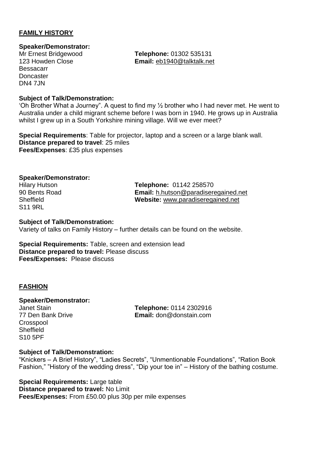#### **FAMILY HISTORY**

## **Speaker/Demonstrator:**

Bessacarr **Doncaster DN4 7.IN** 

**Telephone: 01302 535131** 123 Howden Close **Email:** [eb1940@talktalk.net](mailto:eb1940@talktalk.net)

#### **Subject of Talk/Demonstration:**

'Oh Brother What a Journey". A quest to find my  $\frac{1}{2}$  brother who I had never met. He went to Australia under a child migrant scheme before I was born in 1940. He grows up in Australia whilst I grew up in a South Yorkshire mining village. Will we ever meet?

**Special Requirements**: Table for projector, laptop and a screen or a large blank wall. **Distance prepared to travel**: 25 miles **Fees/Expenses**: £35 plus expenses

#### **Speaker/Demonstrator:**

S11 9RL

Hilary Hutson **Telephone:** 01142 258570 90 Bents Road **Email:** [h.hutson@paradiseregained.net](mailto:h.hutson@paradiseregained.net) Sheffield **Website:** [www.paradiseregained.net](http://www.paradiseregained.net/)

#### **Subject of Talk/Demonstration:**

Variety of talks on Family History – further details can be found on the website.

**Special Requirements:** Table, screen and extension lead **Distance prepared to travel:** Please discuss **Fees/Expenses:** Please discuss

#### **FASHION**

**Speaker/Demonstrator: Crosspool Sheffield** S10 5PF

Janet Stain **Telephone:** 0114 2302916 77 Den Bank Drive **Email:** don@donstain.com

#### **Subject of Talk/Demonstration:**

"Knickers – A Brief History", "Ladies Secrets", "Unmentionable Foundations", "Ration Book Fashion," "History of the wedding dress", "Dip your toe in" – History of the bathing costume.

**Special Requirements:** Large table **Distance prepared to travel:** No Limit **Fees/Expenses:** From £50.00 plus 30p per mile expenses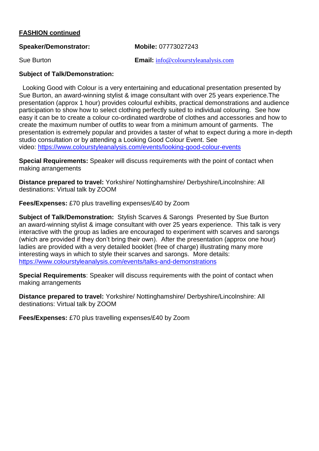#### **FASHION continued**

| <b>Speaker/Demonstrator:</b> | <b>Mobile: 07773027243</b> |
|------------------------------|----------------------------|
|                              |                            |

Sue Burton **Email:** [info@colourstyleanalysis.com](mailto:info@colourstyleanalysis.com)

#### **Subject of Talk/Demonstration:**

 Looking Good with Colour is a very entertaining and educational presentation presented by Sue Burton, an award-winning stylist & image consultant with over 25 years experience.The presentation (approx 1 hour) provides colourful exhibits, practical demonstrations and audience participation to show how to select clothing perfectly suited to individual colouring. See how easy it can be to create a colour co-ordinated wardrobe of clothes and accessories and how to create the maximum number of outfits to wear from a minimum amount of garments. The presentation is extremely popular and provides a taster of what to expect during a more in-depth studio consultation or by attending a Looking Good Colour Event. See video: <https://www.colourstyleanalysis.com/events/looking-good-colour-events>

**Special Requirements:** Speaker will discuss requirements with the point of contact when making arrangements

**Distance prepared to travel:** Yorkshire/ Nottinghamshire/ Derbyshire/Lincolnshire: All destinations: Virtual talk by ZOOM

**Fees/Expenses:** £70 plus travelling expenses/£40 by Zoom

**Subject of Talk/Demonstration:** Stylish Scarves & Sarongs Presented by Sue Burton an award-winning stylist & image consultant with over 25 years experience. This talk is very interactive with the group as ladies are encouraged to experiment with scarves and sarongs (which are provided if they don't bring their own). After the presentation (approx one hour) ladies are provided with a very detailed booklet (free of charge) illustrating many more interesting ways in which to style their scarves and sarongs. More details: <https://www.colourstyleanalysis.com/events/talks-and-demonstrations>

**Special Requirements**: Speaker will discuss requirements with the point of contact when making arrangements

**Distance prepared to travel:** Yorkshire/ Nottinghamshire/ Derbyshire/Lincolnshire: All destinations: Virtual talk by ZOOM

**Fees/Expenses:** £70 plus travelling expenses/£40 by Zoom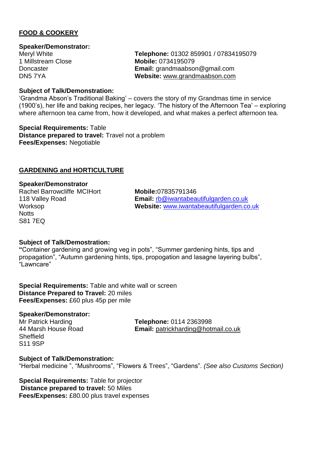#### **FOOD & COOKERY**

#### **Speaker/Demonstrator:**

Meryl White **Telephone:** 01302 859901 / 07834195079 1 Millstream Close **Mobile:** 0734195079 Doncaster **Email:** grandmaabson@gmail.com DN5 7YA **Website:** [www.grandmaabson.com](http://www.grandmaabson.com/)

#### **Subject of Talk/Demonstration:**

'Grandma Abson's Traditional Baking' – covers the story of my Grandmas time in service (1900's), her life and baking recipes, her legacy. 'The history of the Afternoon Tea' – exploring where afternoon tea came from, how it developed, and what makes a perfect afternoon tea.

**Special Requirements:** Table **Distance prepared to travel:** Travel not a problem **Fees/Expenses:** Negotiable

#### **GARDENING and HORTICULTURE**

#### **Speaker/Demonstrator**

Rachel Barrowcliffe MCIHort **Mobile:**07835791346 **Notts** S81 7EQ

118 Valley Road **Email:** [rb@iwantabeautifulgarden.co.uk](mailto:rb@iwantabeautifulgarden.co.uk) Worksop **Website:** [www.iwantabeautifulgarden.co.uk](http://www.iwantabeautifulgarden.co.uk/)

#### **Subject of Talk/Demostration:**

**"**Container gardening and growing veg in pots", "Summer gardening hints, tips and propagation", "Autumn gardening hints, tips, propogation and lasagne layering bulbs", "Lawncare"

**Special Requirements:** Table and white wall or screen **Distance Prepared to Travel:** 20 miles **Fees/Expenses:** £60 plus 45p per mile

#### **Speaker/Demonstrator:**

**Sheffield** S11 9SP

Mr Patrick Harding **Telephone:** 0114 2363998 44 Marsh House Road **Email:** [patrickharding@hotmail.co.uk](mailto:patrickharding@hotmail.co.uk)

#### **Subject of Talk/Demonstration:**

"Herbal medicine ", "Mushrooms", "Flowers & Trees", "Gardens". *(See also Customs Section)*

**Special Requirements:** Table for projector **Distance prepared to travel:** 50 Miles **Fees/Expenses:** £80.00 plus travel expenses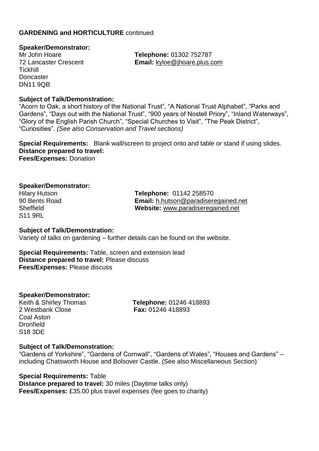#### **GARDENING and HORTICULTURE** continued

#### **Speaker/Demonstrator:**

Tickhill **Doncaster** DN11 9QB

Mr John Hoare **Telephone:** 01302 752787 72 Lancaster Crescent **Email:** [kyloe@jhoare.plus.com](mailto:kyloe@jhoare.plus.com)

#### **Subject of Talk/Demonstration:**

"Acorn to Oak, a short history of the National Trust", "A National Trust Alphabet", "Parks and Gardens", "Days out with the National Trust", "900 years of Nostell Priory", "Inland Waterways", "Glory of the English Parish Church", "Special Churches to Visit", "The Peak District", "Curiosities". *(See also Conservation and Travel sections)*

**Special Requirements:** Blank wall/screen to project onto and table or stand if using slides. **Distance prepared to travel: Fees/Expenses:** Donation

#### **Speaker/Demonstrator:**

S11 9RL

Hilary Hutson **Telephone:** 01142 258570 90 Bents Road **Email:** [h.hutson@paradiseregained.net](mailto:h.hutson@paradiseregained.net) Sheffield **Website:** [www.paradiseregained.net](http://www.paradiseregained.net/)

#### **Subject of Talk/Demonstration:**

Variety of talks on gardening – further details can be found on the website.

**Special Requirements:** Table, screen and extension lead **Distance prepared to travel:** Please discuss **Fees/Expenses:** Please discuss

**Speaker/Demonstrator:**

2 Westbank Close **Fax:** 01246 418893 Coal Aston Dronfield S18 3DE

Keith & Shirley Thomas **Telephone:** 01246 418893

#### **Subject of Talk/Demonstration:**

"Gardens of Yorkshire", "Gardens of Cornwall", "Gardens of Wales", "Houses and Gardens" – including Chatsworth House and Bolsover Castle. (See also Miscellaneous Section)

**Special Requirements:** Table **Distance prepared to travel:** 30 miles (Daytime talks only) **Fees/Expenses:** £35.00 plus travel expenses (fee goes to charity)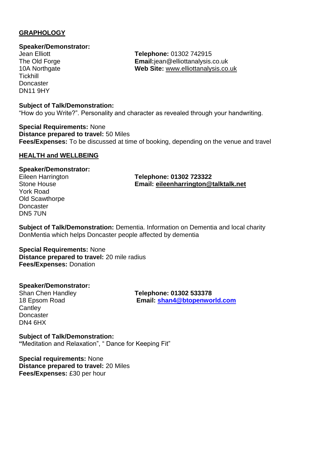#### **GRAPHOLOGY**

### **Speaker/Demonstrator:**

**Tickhill Doncaster** DN11 9HY

**Subject of Talk/Demonstration:**

"How do you Write?". Personality and character as revealed through your handwriting.

**Special Requirements:** None **Distance prepared to travel:** 50 Miles **Fees/Expenses:** To be discussed at time of booking, depending on the venue and travel

#### **HEALTH and WELLBEING**

#### **Speaker/Demonstrator:**

York Road Old Scawthorpe **Doncaster** DN5 7UN

Eileen Harrington **Telephone: 01302 723322** Stone House **Email: [eileenharrington@talktalk.net](mailto:eileenharrington@talktalk.net)**

**Subject of Talk/Demonstration:** Dementia. Information on Dementia and local charity DonMentia which helps Doncaster people affected by dementia

#### **Special Requirements:** None **Distance prepared to travel:** 20 mile radius **Fees/Expenses:** Donation

#### **Speaker/Demonstrator:**

**Cantley Doncaster** DN4 6HX

Shan Chen Handley **Telephone: 01302 533378** 18 Epsom Road **Email: [shan4@btopenworld.com](mailto:shan4@btopenworld.com)**

**Subject of Talk/Demonstration: "**Meditation and Relaxation", " Dance for Keeping Fit"

**Special requirements:** None **Distance prepared to travel:** 20 Miles **Fees/Expenses:** £30 per hour

**Telephone: 01302 742915** The Old Forge **Email:**jean@elliottanalysis.co.uk 10A Northgate **Web Site:** [www.elliottanalysis.co.uk](http://www.elliottanalysis.co.uk/)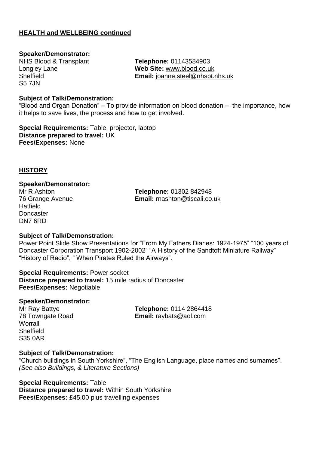#### **HEALTH and WELLBEING continued**

#### **Speaker/Demonstrator:**

S5 7JN

NHS Blood & Transplant **Telephone:** 01143584903 Longley Lane **Web Site:** [www.blood.co.uk](http://www.blood.co.uk/) Sheffield **Email:** [joanne.steel@nhsbt.nhs.uk](mailto:joanne.steel@nhsbt.nhs.uk)

#### **Subject of Talk/Demonstration:**

"Blood and Organ Donation" – To provide information on blood donation – the importance, how it helps to save lives, the process and how to get involved.

**Special Requirements:** Table, projector, laptop **Distance prepared to travel:** UK **Fees/Expenses:** None

#### **HISTORY**

#### **Speaker/Demonstrator:**

**Hatfield Doncaster** DN7 6RD

Mr R Ashton **Telephone:** 01302 842948 76 Grange Avenue **Email:** [rnashton@tiscali.co.uk](mailto:rnashton@tiscali.co.uk)

#### **Subject of Talk/Demonstration:**

Power Point Slide Show Presentations for "From My Fathers Diaries: 1924-1975" "100 years of Doncaster Corporation Transport 1902-2002" "A History of the Sandtoft Miniature Railway" "History of Radio", " When Pirates Ruled the Airways".

### **Special Requirements:** Power socket

**Distance prepared to travel:** 15 mile radius of Doncaster **Fees/Expenses:** Negotiable

#### **Speaker/Demonstrator:**

**Worrall Sheffield** S35 0AR

Mr Ray Battye **Telephone:** 0114 2864418 78 Towngate Road **Email:** raybats@aol.com

#### **Subject of Talk/Demonstration:**

"Church buildings in South Yorkshire", "The English Language, place names and surnames". *(See also Buildings, & Literature Sections)*

#### **Special Requirements:** Table

**Distance prepared to travel:** Within South Yorkshire **Fees/Expenses:** £45.00 plus travelling expenses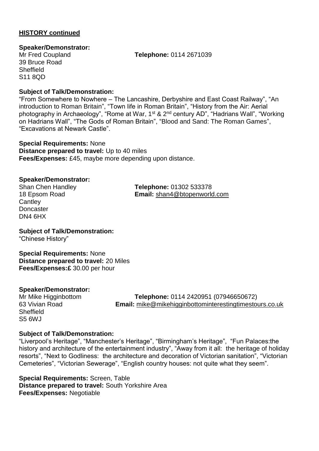#### **Speaker/Demonstrator:**

39 Bruce Road **Sheffield** S11 8QD

Mr Fred Coupland **Telephone:** 0114 2671039

#### **Subject of Talk/Demonstration:**

"From Somewhere to Nowhere – The Lancashire, Derbyshire and East Coast Railway", "An introduction to Roman Britain", "Town life in Roman Britain", "History from the Air: Aerial photography in Archaeology", "Rome at War, 1<sup>st</sup> & 2<sup>nd</sup> century AD", "Hadrians Wall", "Working on Hadrians Wall", "The Gods of Roman Britain", "Blood and Sand: The Roman Games", "Excavations at Newark Castle".

**Special Requirements:** None **Distance prepared to travel:** Up to 40 miles **Fees/Expenses:** £45, maybe more depending upon distance.

#### **Speaker/Demonstrator:**

**Cantley Doncaster** DN4 6HX

Shan Chen Handley **Telephone:** 01302 533378 18 Epsom Road **Email:** [shan4@btopenworld.com](mailto:shan4@btopenworld.com)

**Subject of Talk/Demonstration:** "Chinese History"

**Special Requirements:** None **Distance prepared to travel:** 20 Miles **Fees/Expenses:£** 30.00 per hour

#### **Speaker/Demonstrator:**

**Sheffield** S5 6WJ

Mr Mike Higginbottom **Telephone:** 0114 2420951 (07946650672) **Email:** [mike@mikehigginbottominterestingtimestours.co.uk](mailto:mike@mikehigginbottominterestingtimestours.co.uk)

#### **Subject of Talk/Demonstration:**

"Liverpool's Heritage", "Manchester's Heritage", "Birmingham's Heritage", "Fun Palaces:the history and architecture of the entertainment industry", "Away from it all: the heritage of holiday resorts", "Next to Godliness: the architecture and decoration of Victorian sanitation", "Victorian Cemeteries", "Victorian Sewerage", "English country houses: not quite what they seem".

**Special Requirements:** Screen, Table **Distance prepared to travel:** South Yorkshire Area **Fees/Expenses:** Negotiable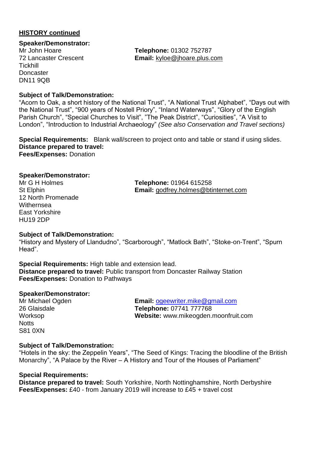#### **Speaker/Demonstrator:**

**Tickhill Doncaster** DN11 9QB

Mr John Hoare **Telephone:** 01302 752787 72 Lancaster Crescent **Email:** [kyloe@jhoare.plus.com](mailto:kyloe@jhoare.plus.com)

#### **Subject of Talk/Demonstration:**

"Acorn to Oak, a short history of the National Trust", "A National Trust Alphabet", "Days out with the National Trust", "900 years of Nostell Priory", "Inland Waterways", "Glory of the English Parish Church", "Special Churches to Visit", "The Peak District", "Curiosities", "A Visit to London", "Introduction to Industrial Archaeology" *(See also Conservation and Travel sections)*

**Special Requirements:** Blank wall/screen to project onto and table or stand if using slides. **Distance prepared to travel: Fees/Expenses:** Donation

#### **Speaker/Demonstrator:**

12 North Promenade **Withernsea** East Yorkshire HU19 2DP

Mr G H Holmes **Telephone:** 01964 615258 St Elphin **Email:** [godfrey.holmes@btinternet.com](mailto:godfrey.holmes@btinternet.com)

#### **Subject of Talk/Demonstration:**

"History and Mystery of Llandudno", "Scarborough", "Matlock Bath", "Stoke-on-Trent", "Spurn Head".

**Special Requirements:** High table and extension lead. **Distance prepared to travel:** Public transport from Doncaster Railway Station **Fees/Expenses:** Donation to Pathways

#### **Speaker/Demonstrator:**

**Notts** S81 0XN

Mr Michael Ogden **Email:** [ogeewriter.mike@gmail.com](mailto:ogeewriter.mike@gmail.com) 26 Glaisdale **Telephone:** 07741 777768 Worksop **Website:** www.mikeogden.moonfruit.com

#### **Subject of Talk/Demonstration:**

"Hotels in the sky: the Zeppelin Years", "The Seed of Kings: Tracing the bloodline of the British Monarchy", "A Palace by the River – A History and Tour of the Houses of Parliament"

#### **Special Requirements:**

**Distance prepared to travel:** South Yorkshire, North Nottinghamshire, North Derbyshire **Fees/Expenses:** £40 - from January 2019 will increase to £45 + travel cost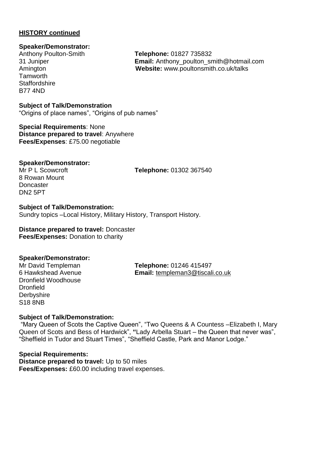# **Speaker/Demonstrator:**

**Tamworth** Staffordshire B77 4ND

Anthony Poulton-Smith **Telephone:** 01827 735832 31 Juniper **Email:** Anthony\_poulton\_smith@hotmail.com Amington **Website:** www.poultonsmith.co.uk/talks

**Subject of Talk/Demonstration** "Origins of place names", "Origins of pub names"

**Special Requirements**: None **Distance prepared to travel**: Anywhere **Fees/Expenses**: £75.00 negotiable

#### **Speaker/Demonstrator:**

8 Rowan Mount **Doncaster** DN2 5PT

Mr P L Scowcroft **Telephone:** 01302 367540

#### **Subject of Talk/Demonstration:**

Sundry topics –Local History, Military History, Transport History.

#### **Distance prepared to travel:** Doncaster **Fees/Expenses:** Donation to charity

#### **Speaker/Demonstrator:**

Dronfield Woodhouse **Dronfield Derbyshire** S18 8NB

Mr David Templeman **Telephone:** 01246 415497 6 Hawkshead Avenue **Email:** [templeman3@tiscali.co.uk](mailto:templeman3@tiscali.co.uk)

#### **Subject of Talk/Demonstration:**

"Mary Queen of Scots the Captive Queen", "Two Queens & A Countess –Elizabeth I, Mary Queen of Scots and Bess of Hardwick", **"**Lady Arbella Stuart – the Queen that never was", "Sheffield in Tudor and Stuart Times", "Sheffield Castle, Park and Manor Lodge."

**Special Requirements: Distance prepared to travel:** Up to 50 miles **Fees/Expenses:** £60.00 including travel expenses.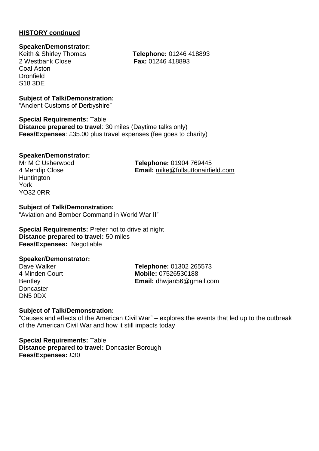#### **Speaker/Demonstrator:**

2 Westbank Close **Fax:** 01246 418893 Coal Aston Dronfield S18 3DE

Keith & Shirley Thomas **Telephone:** 01246 418893

#### **Subject of Talk/Demonstration:**

"Ancient Customs of Derbyshire"

**Special Requirements:** Table **Distance prepared to travel**: 30 miles (Daytime talks only) **Fees/Expenses**: £35.00 plus travel expenses (fee goes to charity)

#### **Speaker/Demonstrator:**

**Huntington** York YO32 0RR

Mr M C Usherwood **Telephone:** 01904 769445 4 Mendip Close **Email:** [mike@fullsuttonairfield.com](mailto:mike@fullsuttonairfield.com)

**Subject of Talk/Demonstration:** "Aviation and Bomber Command in World War II"

**Special Requirements:** Prefer not to drive at night **Distance prepared to travel:** 50 miles **Fees/Expenses:** Negotiable

#### **Speaker/Demonstrator:**

**Doncaster** DN5 0DX

Dave Walker **Telephone:** 01302 265573 4 Minden Court **Mobile:** 07526530188 Bentley **Email:** dhwjan56@gmail.com

#### **Subject of Talk/Demonstration:**

"Causes and effects of the American Civil War" – explores the events that led up to the outbreak of the American Civil War and how it still impacts today

**Special Requirements:** Table **Distance prepared to travel:** Doncaster Borough **Fees/Expenses:** £30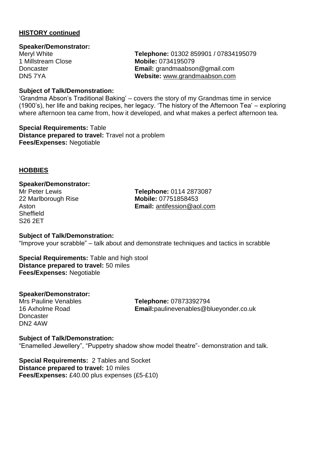#### **Speaker/Demonstrator:**

Meryl White **Telephone:** 01302 859901 / 07834195079 1 Millstream Close **Mobile:** 0734195079 Doncaster **Email:** grandmaabson@gmail.com DN5 7YA **Website:** [www.grandmaabson.com](http://www.grandmaabson.com/)

#### **Subject of Talk/Demonstration:**

'Grandma Abson's Traditional Baking' – covers the story of my Grandmas time in service (1900's), her life and baking recipes, her legacy. 'The history of the Afternoon Tea' – exploring where afternoon tea came from, how it developed, and what makes a perfect afternoon tea.

**Special Requirements:** Table **Distance prepared to travel:** Travel not a problem **Fees/Expenses:** Negotiable

#### **HOBBIES**

#### **Speaker/Demonstrator:**

**Sheffield** S26 2ET

Mr Peter Lewis **Telephone:** 0114 2873087 22 Marlborough Rise **Mobile:** 07751858453 Aston **Email:** [antifession@aol.com](mailto:antifession@aol.com)

#### **Subject of Talk/Demonstration:**

"Improve your scrabble" – talk about and demonstrate techniques and tactics in scrabble

**Special Requirements:** Table and high stool **Distance prepared to travel:** 50 miles **Fees/Expenses:** Negotiable

#### **Speaker/Demonstrator:**

**Doncaster** DN2 4AW

Mrs Pauline Venables **Telephone:** 07873392794 16 Axholme Road **Email:**paulinevenables@blueyonder.co.uk

#### **Subject of Talk/Demonstration:**

"Enamelled Jewellery", "Puppetry shadow show model theatre"- demonstration and talk.

**Special Requirements:** 2 Tables and Socket **Distance prepared to travel:** 10 miles **Fees/Expenses:** £40.00 plus expenses (£5-£10)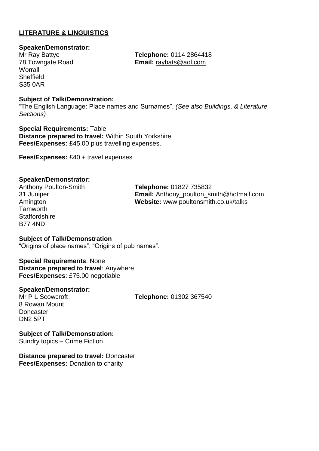#### **LITERATURE & LINGUISTICS**

#### **Speaker/Demonstrator:**

**Worrall Sheffield** S35 0AR

Mr Ray Battye **Telephone:** 0114 2864418 Email: [raybats@aol.com](mailto:raybats@aol.com)

#### **Subject of Talk/Demonstration:**

"The English Language: Place names and Surnames". *(See also Buildings, & Literature Sections)*

**Special Requirements:** Table **Distance prepared to travel:** Within South Yorkshire **Fees/Expenses:** £45.00 plus travelling expenses.

**Fees/Expenses:** £40 + travel expenses

#### **Speaker/Demonstrator:**

**Tamworth Staffordshire** B77 4ND

Anthony Poulton-Smith **Telephone:** 01827 735832 31 Juniper **Email:** Anthony\_poulton\_smith@hotmail.com Amington **Website:** www.poultonsmith.co.uk/talks

#### **Subject of Talk/Demonstration** "Origins of place names", "Origins of pub names".

**Special Requirements**: None **Distance prepared to travel**: Anywhere **Fees/Expenses**: £75.00 negotiable

#### **Speaker/Demonstrator:**

Mr P L Scowcroft **Telephone:** 01302 367540 8 Rowan Mount **Doncaster** DN2 5PT

**Subject of Talk/Demonstration:** Sundry topics – Crime Fiction

**Distance prepared to travel:** Doncaster **Fees/Expenses:** Donation to charity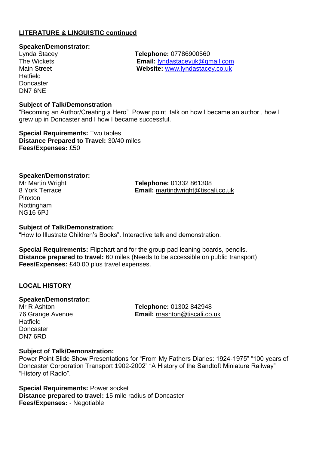#### **LITERATURE & LINGUISTIC continued**

# **Speaker/Demonstrator:**

**Hatfield Doncaster** DN7 6NE

Lynda Stacey **Telephone:** 07786900560 The Wickets **Email:** [lyndastaceyuk@gmail.com](mailto:lyndastaceyuk@gmail.com) Website: [www.lyndastacey.co.uk](http://www.lyndastacey.co.uk/)

#### **Subject of Talk/Demonstration**

"Becoming an Author/Creating a Hero" Power point talk on how I became an author , how I grew up in Doncaster and I how I became successful.

**Special Requirements:** Two tables **Distance Prepared to Travel:** 30/40 miles **Fees/Expenses:** £50

#### **Speaker/Demonstrator:**

Pinxton Nottingham NG16 6PJ

Mr Martin Wright **Telephone:** 01332 861308 Email: [martindwright@tiscali.co.uk](mailto:martindwright@tiscali.co.uk)

#### **Subject of Talk/Demonstration:**

"How to Illustrate Children's Books". Interactive talk and demonstration.

**Special Requirements:** Flipchart and for the group pad leaning boards, pencils. **Distance prepared to travel:** 60 miles (Needs to be accessible on public transport) **Fees/Expenses:** £40.00 plus travel expenses.

#### **LOCAL HISTORY**

**Speaker/Demonstrator: Hatfield Doncaster** DN7 6RD

Mr R Ashton **Telephone:** 01302 842948 76 Grange Avenue **Email:** [rnashton@tiscali.co.uk](mailto:rnashton@tiscali.co.uk)

#### **Subject of Talk/Demonstration:**

Power Point Slide Show Presentations for "From My Fathers Diaries: 1924-1975" "100 years of Doncaster Corporation Transport 1902-2002" "A History of the Sandtoft Miniature Railway" "History of Radio".

**Special Requirements:** Power socket **Distance prepared to travel:** 15 mile radius of Doncaster **Fees/Expenses:** - Negotiable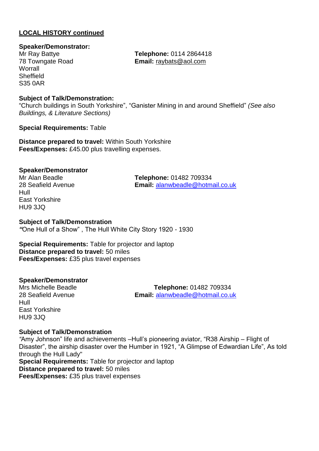#### **Speaker/Demonstrator:**

**Worrall Sheffield** S35 0AR

Mr Ray Battye **Telephone:** 0114 2864418 78 Towngate Road **Email:** [raybats@aol.com](mailto:raybats@aol.com)

#### **Subject of Talk/Demonstration:**

"Church buildings in South Yorkshire", "Ganister Mining in and around Sheffield" *(See also Buildings, & Literature Sections)*

**Special Requirements:** Table

**Distance prepared to travel:** Within South Yorkshire **Fees/Expenses:** £45.00 plus travelling expenses.

#### **Speaker/Demonstrator**

Hull East Yorkshire HU9 3JQ

Mr Alan Beadle **Telephone:** 01482 709334 28 Seafield Avenue **Email:** [alanwbeadle@hotmail.co.uk](mailto:alanwbeadle@hotmail.co.uk)

#### **Subject of Talk/Demonstration**

*"*One Hull of a Show" , The Hull White City Story 1920 - 1930

**Special Requirements:** Table for projector and laptop **Distance prepared to travel:** 50 miles **Fees/Expenses:** £35 plus travel expenses

#### **Speaker/Demonstrator**

Hull East Yorkshire HU9 3JQ

Mrs Michelle Beadle **Telephone:** 01482 709334 28 Seafield Avenue **Email:** [alanwbeadle@hotmail.co.uk](mailto:alanwbeadle@hotmail.co.uk)

#### **Subject of Talk/Demonstration**

*"*Amy Johnson" life and achievements –Hull's pioneering aviator, "R38 Airship – Flight of Disaster", the airship disaster over the Humber in 1921, "A Glimpse of Edwardian Life", As told through the Hull Lady"

**Special Requirements:** Table for projector and laptop **Distance prepared to travel:** 50 miles **Fees/Expenses:** £35 plus travel expenses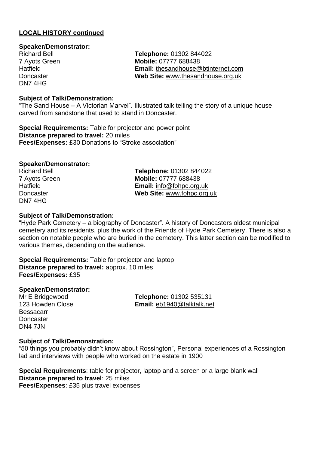#### **Speaker/Demonstrator:**

DN7 4HG

Richard Bell **Telephone:** 01302 844022 7 Ayots Green **Mobile:** 07777 688438 Hatfield **Email:** [thesandhouse@btinternet.com](mailto:thesandhouse@btinternet.com) Doncaster **Web Site:** [www.thesandhouse.org.uk](http://www.thesandhouse.org.uk/)

#### **Subject of Talk/Demonstration:**

"The Sand House – A Victorian Marvel". Illustrated talk telling the story of a unique house carved from sandstone that used to stand in Doncaster.

**Special Requirements:** Table for projector and power point **Distance prepared to travel:** 20 miles **Fees/Expenses:** £30 Donations to "Stroke association"

#### **Speaker/Demonstrator:**

DN7 4HG

Richard Bell **Telephone:** 01302 844022 7 Ayots Green **Mobile:** 07777 688438 Hatfield **Email:** [info@fohpc.org.uk](mailto:info@fohpc.org.uk) Doncaster **Web Site:** [www.fohpc.org.uk](http://www.fohpc.org.uk/)

#### **Subject of Talk/Demonstration:**

"Hyde Park Cemetery – a biography of Doncaster". A history of Doncasters oldest municipal cemetery and its residents, plus the work of the Friends of Hyde Park Cemetery. There is also a section on notable people who are buried in the cemetery. This latter section can be modified to various themes, depending on the audience.

**Special Requirements:** Table for projector and laptop **Distance prepared to travel:** approx. 10 miles **Fees/Expenses:** £35

#### **Speaker/Demonstrator:**

Bessacarr **Doncaster** DN4 7JN

Mr E Bridgewood **Telephone:** 01302 535131 123 Howden Close **Email:** [eb1940@talktalk.net](mailto:eb1940@talktalk.net)

#### **Subject of Talk/Demonstration:**

"50 things you probably didn't know about Rossington", Personal experiences of a Rossington lad and interviews with people who worked on the estate in 1900

**Special Requirements**: table for projector, laptop and a screen or a large blank wall **Distance prepared to travel**: 25 miles **Fees/Expenses**: £35 plus travel expenses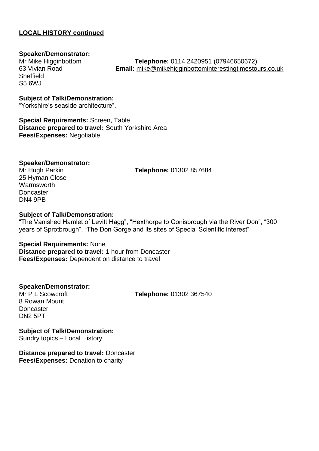#### **Speaker/Demonstrator:**

**Sheffield** S5 6WJ

Mr Mike Higginbottom **Telephone:** 0114 2420951 (07946650672) **Email:** [mike@mikehigginbottominterestingtimestours.co.uk](mailto:mike@mikehigginbottominterestingtimestours.co.uk)

**Subject of Talk/Demonstration:**

"Yorkshire's seaside architecture".

**Special Requirements:** Screen, Table **Distance prepared to travel:** South Yorkshire Area **Fees/Expenses:** Negotiable

#### **Speaker/Demonstrator:**

25 Hyman Close **Warmsworth Doncaster** DN4 9PB

Mr Hugh Parkin **Telephone:** 01302 857684

#### **Subject of Talk/Demonstration:**

"The Vanished Hamlet of Levitt Hagg", "Hexthorpe to Conisbrough via the River Don", "300 years of Sprotbrough", "The Don Gorge and its sites of Special Scientific interest"

#### **Special Requirements:** None

**Distance prepared to travel:** 1 hour from Doncaster **Fees/Expenses:** Dependent on distance to travel

#### **Speaker/Demonstrator:**

Mr P L Scowcroft **Telephone:** 01302 367540

8 Rowan Mount **Doncaster** DN2 5PT

**Subject of Talk/Demonstration:** Sundry topics – Local History

**Distance prepared to travel:** Doncaster **Fees/Expenses:** Donation to charity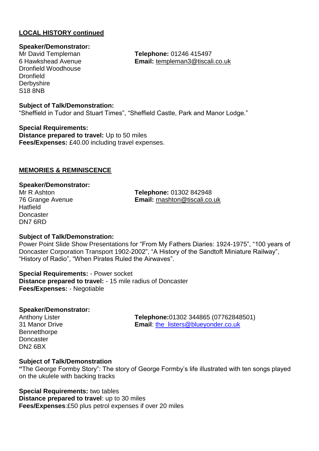# **Speaker/Demonstrator:**

Dronfield Woodhouse **Dronfield Derbyshire** S18 8NB

**Telephone: 01246 415497** 6 Hawkshead Avenue **Email:** [templeman3@tiscali.co.uk](mailto:templeman3@tiscali.co.uk)

#### **Subject of Talk/Demonstration:**

"Sheffield in Tudor and Stuart Times", "Sheffield Castle, Park and Manor Lodge."

**Special Requirements: Distance prepared to travel:** Up to 50 miles **Fees/Expenses:** £40.00 including travel expenses.

#### **MEMORIES & REMINISCENCE**

#### **Speaker/Demonstrator:**

**Hatfield Doncaster** DN7 6RD

Mr R Ashton **Telephone:** 01302 842948 76 Grange Avenue **Email:** [rnashton@tiscali.co.uk](mailto:rnashton@tiscali.co.uk)

#### **Subject of Talk/Demonstration:**

Power Point Slide Show Presentations for "From My Fathers Diaries: 1924-1975", "100 years of Doncaster Corporation Transport 1902-2002", "A History of the Sandtoft Miniature Railway", "History of Radio", "When Pirates Ruled the Airwaves".

**Special Requirements:** - Power socket **Distance prepared to travel:** - 15 mile radius of Doncaster **Fees/Expenses:** - Negotiable

#### **Speaker/Demonstrator:**

**Bennetthorpe Doncaster** DN2 6BX

Anthony Lister **Telephone:**01302 344865 (07762848501) 31 Manor Drive **Email**: [the\\_listers@blueyonder.co.uk](mailto:the_listers@blueyonder.co.uk)

#### **Subject of Talk/Demonstration**

**"**The George Formby Story": The story of George Formby's life illustrated with ten songs played on the ukulele with backing tracks

**Special Requirements:** two tables

**Distance prepared to travel**: up to 30 miles **Fees/Expenses**:£50 plus petrol expenses if over 20 miles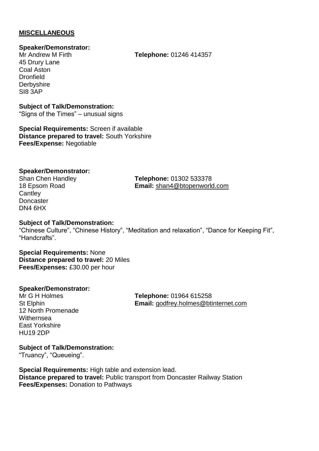#### **MISCELLANEOUS**

#### **Speaker/Demonstrator:**

45 Drury Lane Coal Aston **Dronfield Derbyshire** SI8 3AP

Mr Andrew M Firth **Telephone:** 01246 414357

#### **Subject of Talk/Demonstration:** "Signs of the Times" – unusual signs

**Special Requirements:** Screen if available **Distance prepared to travel:** South Yorkshire **Fees/Expense:** Negotiable

#### **Speaker/Demonstrator:**

**Cantley Doncaster** DN4 6HX

Shan Chen Handley **Telephone:** 01302 533378 18 Epsom Road **Email:** [shan4@btopenworld.com](mailto:shan4@btopenworld.com)

#### **Subject of Talk/Demonstration:**

"Chinese Culture", "Chinese History", "Meditation and relaxation", "Dance for Keeping Fit", "Handcrafts".

#### **Special Requirements:** None **Distance prepared to travel:** 20 Miles **Fees/Expenses:** £30.00 per hour

#### **Speaker/Demonstrator:**

12 North Promenade **Withernsea** East Yorkshire HU19 2DP

Mr G H Holmes **Telephone:** 01964 615258 St Elphin **Email:** [godfrey.holmes@btinternet.com](mailto:godfrey.holmes@btinternet.com)

**Subject of Talk/Demonstration:**

"Truancy", "Queueing".

**Special Requirements:** High table and extension lead. **Distance prepared to travel:** Public transport from Doncaster Railway Station **Fees/Expenses:** Donation to Pathways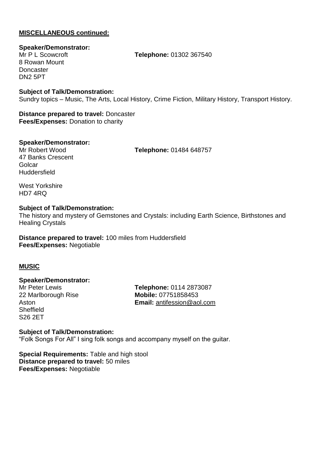#### **MISCELLANEOUS continued:**

**Speaker/Demonstrator:**

8 Rowan Mount **Doncaster** DN2 5PT

Mr P L Scowcroft **Telephone:** 01302 367540

**Subject of Talk/Demonstration:** Sundry topics – Music, The Arts, Local History, Crime Fiction, Military History, Transport History.

**Distance prepared to travel:** Doncaster **Fees/Expenses:** Donation to charity

## **Speaker/Demonstrator:**

**Telephone: 01484 648757** 

47 Banks Crescent Golcar **Huddersfield** 

West Yorkshire HD7 4RQ

#### **Subject of Talk/Demonstration:**

The history and mystery of Gemstones and Crystals: including Earth Science, Birthstones and Healing Crystals

**Distance prepared to travel:** 100 miles from Huddersfield **Fees/Expenses:** Negotiable

#### **MUSIC**

#### **Speaker/Demonstrator:**

22 Marlborough Rise **Mobile:** 07751858453 **Sheffield** S26 2ET

Mr Peter Lewis **Telephone:** 0114 2873087 Aston **Email:** [antifession@aol.com](mailto:antifession@aol.com)

**Subject of Talk/Demonstration:** "Folk Songs For All" I sing folk songs and accompany myself on the guitar.

**Special Requirements:** Table and high stool **Distance prepared to travel:** 50 miles **Fees/Expenses:** Negotiable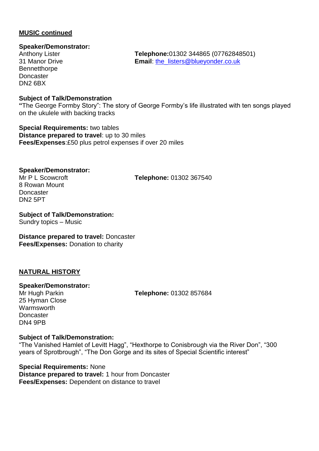#### **MUSIC continued**

#### **Speaker/Demonstrator:**

**Bennetthorpe** Doncaster DN2 6BX

#### **Subject of Talk/Demonstration**

**"**The George Formby Story": The story of George Formby's life illustrated with ten songs played on the ukulele with backing tracks

**Special Requirements:** two tables **Distance prepared to travel**: up to 30 miles **Fees/Expenses**:£50 plus petrol expenses if over 20 miles

#### **Speaker/Demonstrator:**

8 Rowan Mount **Doncaster** DN2 5PT

Mr P L Scowcroft **Telephone:** 01302 367540

**Subject of Talk/Demonstration:** Sundry topics – Music

#### **Distance prepared to travel:** Doncaster **Fees/Expenses:** Donation to charity

#### **NATURAL HISTORY**

#### **Speaker/Demonstrator:**

25 Hyman Close Warmsworth **Doncaster** DN4 9PB

Mr Hugh Parkin **Telephone:** 01302 857684

#### **Subject of Talk/Demonstration:**

"The Vanished Hamlet of Levitt Hagg", "Hexthorpe to Conisbrough via the River Don", "300 years of Sprotbrough", "The Don Gorge and its sites of Special Scientific interest"

**Special Requirements:** None **Distance prepared to travel:** 1 hour from Doncaster **Fees/Expenses:** Dependent on distance to travel

Anthony Lister **Telephone:**01302 344865 (07762848501) 31 Manor Drive **Email**: [the\\_listers@blueyonder.co.uk](mailto:the_listers@blueyonder.co.uk)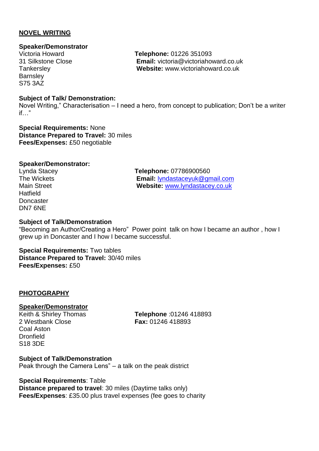#### **NOVEL WRITING**

### **Speaker/Demonstrator**

**Barnsley** S75 3AZ

Victoria Howard **Telephone:** 01226 351093 31 Silkstone Close **Email:** victoria@victoriahoward.co.uk Tankersley **Website:** www.victoriahoward.co.uk

#### **Subject of Talk/ Demonstration:**

Novel Writing," Characterisation – I need a hero, from concept to publication; Don't be a writer if…"

**Special Requirements:** None **Distance Prepared to Travel:** 30 miles **Fees/Expenses:** £50 negotiable

#### **Speaker/Demonstrator:**

**Hatfield Doncaster** DN7 6NE

Lynda Stacey **Telephone:** 07786900560 The Wickets **Email:** [lyndastaceyuk@gmail.com](mailto:lyndastaceyuk@gmail.com) Website: [www.lyndastacey.co.uk](http://www.lyndastacey.co.uk/)

#### **Subject of Talk/Demonstration**

"Becoming an Author/Creating a Hero" Power point talk on how I became an author , how I grew up in Doncaster and I how I became successful.

**Special Requirements:** Two tables **Distance Prepared to Travel:** 30/40 miles **Fees/Expenses:** £50

#### **PHOTOGRAPHY**

#### **Speaker/Demonstrator**

2 Westbank Close **Fax:** 01246 418893 Coal Aston **Dronfield** S18 3DE

Keith & Shirley Thomas **Telephone** :01246 418893

**Subject of Talk/Demonstration** Peak through the Camera Lens" – a talk on the peak district

**Special Requirements**: Table

**Distance prepared to travel**: 30 miles (Daytime talks only) **Fees/Expenses**: £35.00 plus travel expenses (fee goes to charity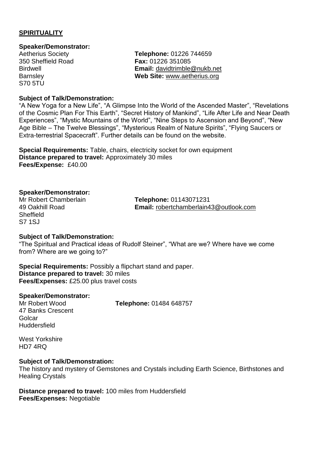#### **SPIRITUALITY**

#### **Speaker/Demonstrator:**

S70 5TU

Aetherius Society **Telephone:** 01226 744659 350 Sheffield Road **Fax:** 01226 351085 Birdwell **Email:** [davidtrimble@nukb.net](mailto:davidtrimble@nukb.net) Barnsley **Web Site:** [www.aetherius.org](http://www.aetherius.org/)

#### **Subject of Talk/Demonstration:**

"A New Yoga for a New Life", "A Glimpse Into the World of the Ascended Master", "Revelations of the Cosmic Plan For This Earth", "Secret History of Mankind", "Life After Life and Near Death Experiences", "Mystic Mountains of the World", "Nine Steps to Ascension and Beyond", "New Age Bible – The Twelve Blessings", "Mysterious Realm of Nature Spirits", "Flying Saucers or Extra-terrestrial Spacecraft". Further details can be found on the website.

**Special Requirements:** Table, chairs, electricity socket for own equipment **Distance prepared to travel:** Approximately 30 miles **Fees/Expense:** £40.00

#### **Speaker/Demonstrator:**

**Sheffield** S7 1SJ

Mr Robert Chamberlain **Telephone:** 01143071231 49 Oakhill Road **Email:** [robertchamberlain43@outlook.com](mailto:robertchamberlain43@outlook.com)

#### **Subject of Talk/Demonstration:**

"The Spiritual and Practical ideas of Rudolf Steiner", "What are we? Where have we come from? Where are we going to?"

**Special Requirements:** Possibly a flipchart stand and paper. **Distance prepared to travel:** 30 miles **Fees/Expenses:** £25.00 plus travel costs

#### **Speaker/Demonstrator:**

47 Banks Crescent **Golcar Huddersfield** 

Mr Robert Wood **Telephone:** 01484 648757

West Yorkshire HD7 4RQ

#### **Subject of Talk/Demonstration:**

The history and mystery of Gemstones and Crystals including Earth Science, Birthstones and Healing Crystals

**Distance prepared to travel:** 100 miles from Huddersfield **Fees/Expenses:** Negotiable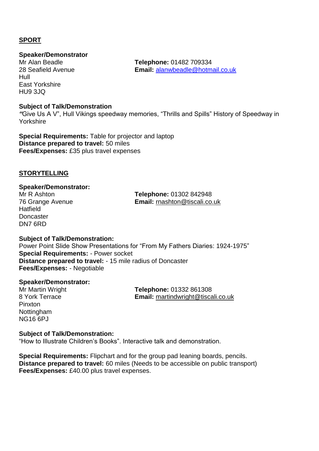#### **SPORT**

### **Speaker/Demonstrator**

Hull East Yorkshire HU9 3JQ

**Subject of Talk/Demonstration**

*"*Give Us A V", Hull Vikings speedway memories, "Thrills and Spills" History of Speedway in Yorkshire

**Special Requirements:** Table for projector and laptop **Distance prepared to travel:** 50 miles **Fees/Expenses:** £35 plus travel expenses

#### **STORYTELLING**

#### **Speaker/Demonstrator:**

**Hatfield Doncaster** DN7 6RD

Mr R Ashton **Telephone:** 01302 842948 76 Grange Avenue **Email:** [rnashton@tiscali.co.uk](mailto:rnashton@tiscali.co.uk)

#### **Subject of Talk/Demonstration:**

Power Point Slide Show Presentations for "From My Fathers Diaries: 1924-1975" **Special Requirements:** - Power socket **Distance prepared to travel:** - 15 mile radius of Doncaster **Fees/Expenses:** - Negotiable

#### **Speaker/Demonstrator:**

Pinxton Nottingham NG16 6PJ

Mr Martin Wright **Telephone:** 01332 861308 8 York Terrace **Email:** [martindwright@tiscali.co.uk](mailto:martindwright@tiscali.co.uk)

#### **Subject of Talk/Demonstration:**

"How to Illustrate Children's Books". Interactive talk and demonstration.

**Special Requirements:** Flipchart and for the group pad leaning boards, pencils. **Distance prepared to travel:** 60 miles (Needs to be accessible on public transport) **Fees/Expenses:** £40.00 plus travel expenses.

**Telephone: 01482 709334** 28 Seafield Avenue **Email:** [alanwbeadle@hotmail.co.uk](mailto:alanwbeadle@hotmail.co.uk)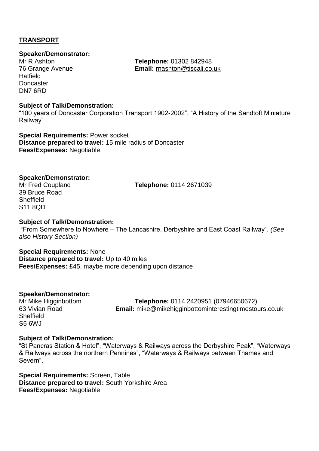#### **TRANSPORT**

#### **Speaker/Demonstrator:**

**Hatfield Doncaster** DN7 6RD

Mr R Ashton **Telephone:** 01302 842948 76 Grange Avenue **Email:** [rnashton@tiscali.co.uk](mailto:rnashton@tiscali.co.uk)

#### **Subject of Talk/Demonstration:**

"100 years of Doncaster Corporation Transport 1902-2002", "A History of the Sandtoft Miniature Railway"

**Special Requirements:** Power socket **Distance prepared to travel:** 15 mile radius of Doncaster **Fees/Expenses:** Negotiable

#### **Speaker/Demonstrator:**

39 Bruce Road **Sheffield** S11 8QD

Mr Fred Coupland **Telephone:** 0114 2671039

#### **Subject of Talk/Demonstration:**

"From Somewhere to Nowhere – The Lancashire, Derbyshire and East Coast Railway". *(See also History Section)*

**Special Requirements:** None **Distance prepared to travel:** Up to 40 miles **Fees/Expenses:** £45, maybe more depending upon distance.

#### **Speaker/Demonstrator:**

**Sheffield** S5 6WJ

Mr Mike Higginbottom **Telephone:** 0114 2420951 (07946650672) 63 Vivian Road **Email:** [mike@mikehigginbottominterestingtimestours.co.uk](mailto:mike@mikehigginbottominterestingtimestours.co.uk)

#### **Subject of Talk/Demonstration:**

"St Pancras Station & Hotel", "Waterways & Railways across the Derbyshire Peak", "Waterways & Railways across the northern Pennines", "Waterways & Railways between Thames and Severn".

**Special Requirements:** Screen, Table **Distance prepared to travel:** South Yorkshire Area **Fees/Expenses:** Negotiable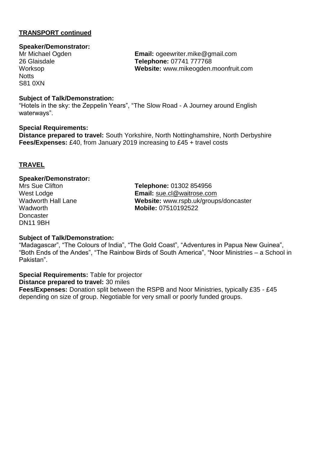#### **TRANSPORT continued**

#### **Speaker/Demonstrator:**

**Notts** S81 0XN

Mr Michael Ogden **Email:** ogeewriter.mike@gmail.com 26 Glaisdale **Telephone:** 07741 777768 Worksop **Website:** www.mikeogden.moonfruit.com

#### **Subject of Talk/Demonstration:**

"Hotels in the sky: the Zeppelin Years", "The Slow Road - A Journey around English waterways".

#### **Special Requirements:**

**Distance prepared to travel:** South Yorkshire, North Nottinghamshire, North Derbyshire **Fees/Expenses:** £40, from January 2019 increasing to £45 + travel costs

#### **TRAVEL**

#### **Speaker/Demonstrator:**

**Doncaster** DN11 9BH

Mrs Sue Clifton **Telephone:** 01302 854956 West Lodge **Email:** [sue.cl@waitrose.com](mailto:sue.cl@waitrose.com) Wadworth Hall Lane **Website:** www.rspb.uk/groups/doncaster Wadworth **Mobile:** 07510192522

#### **Subject of Talk/Demonstration:**

"Madagascar", "The Colours of India", "The Gold Coast", "Adventures in Papua New Guinea", "Both Ends of the Andes", "The Rainbow Birds of South America", "Noor Ministries – a School in Pakistan".

**Special Requirements:** Table for projector

**Distance prepared to travel:** 30 miles

**Fees/Expenses:** Donation split between the RSPB and Noor Ministries, typically £35 - £45 depending on size of group. Negotiable for very small or poorly funded groups.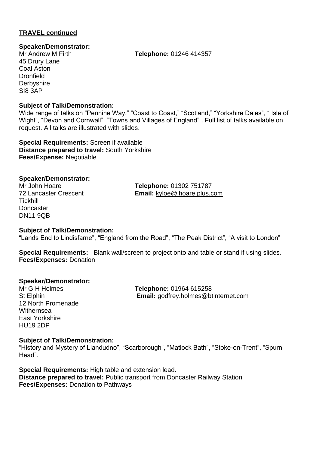#### **TRAVEL continued**

#### **Speaker/Demonstrator:**

45 Drury Lane Coal Aston **Dronfield Derbyshire** SI8 3AP

**Subject of Talk/Demonstration:**

Wide range of talks on "Pennine Way," "Coast to Coast," "Scotland," "Yorkshire Dales", " Isle of Wight", "Devon and Cornwall", "Towns and Villages of England" . Full list of talks available on request. All talks are illustrated with slides.

**Special Requirements:** Screen if available **Distance prepared to travel:** South Yorkshire **Fees/Expense:** Negotiable

**Speaker/Demonstrator: Tickhill Doncaster** DN11 9QB

**Telephone: 01302 751787** 72 Lancaster Crescent **Email:** [kyloe@jhoare.plus.com](mailto:kyloe@jhoare.plus.com)

#### **Subject of Talk/Demonstration:**

"Lands End to Lindisfarne", "England from the Road", "The Peak District", "A visit to London"

**Special Requirements:** Blank wall/screen to project onto and table or stand if using slides. **Fees/Expenses:** Donation

#### **Speaker/Demonstrator:**

12 North Promenade **Withernsea** East Yorkshire HU19 2DP

Mr G H Holmes **Telephone:** 01964 615258 St Elphin **Email:** [godfrey.holmes@btinternet.com](mailto:godfrey.holmes@btinternet.com)

#### **Subject of Talk/Demonstration:**

"History and Mystery of Llandudno", "Scarborough", "Matlock Bath", "Stoke-on-Trent", "Spurn Head".

**Special Requirements:** High table and extension lead. **Distance prepared to travel:** Public transport from Doncaster Railway Station **Fees/Expenses:** Donation to Pathways

Mr Andrew M Firth **Telephone:** 01246 414357